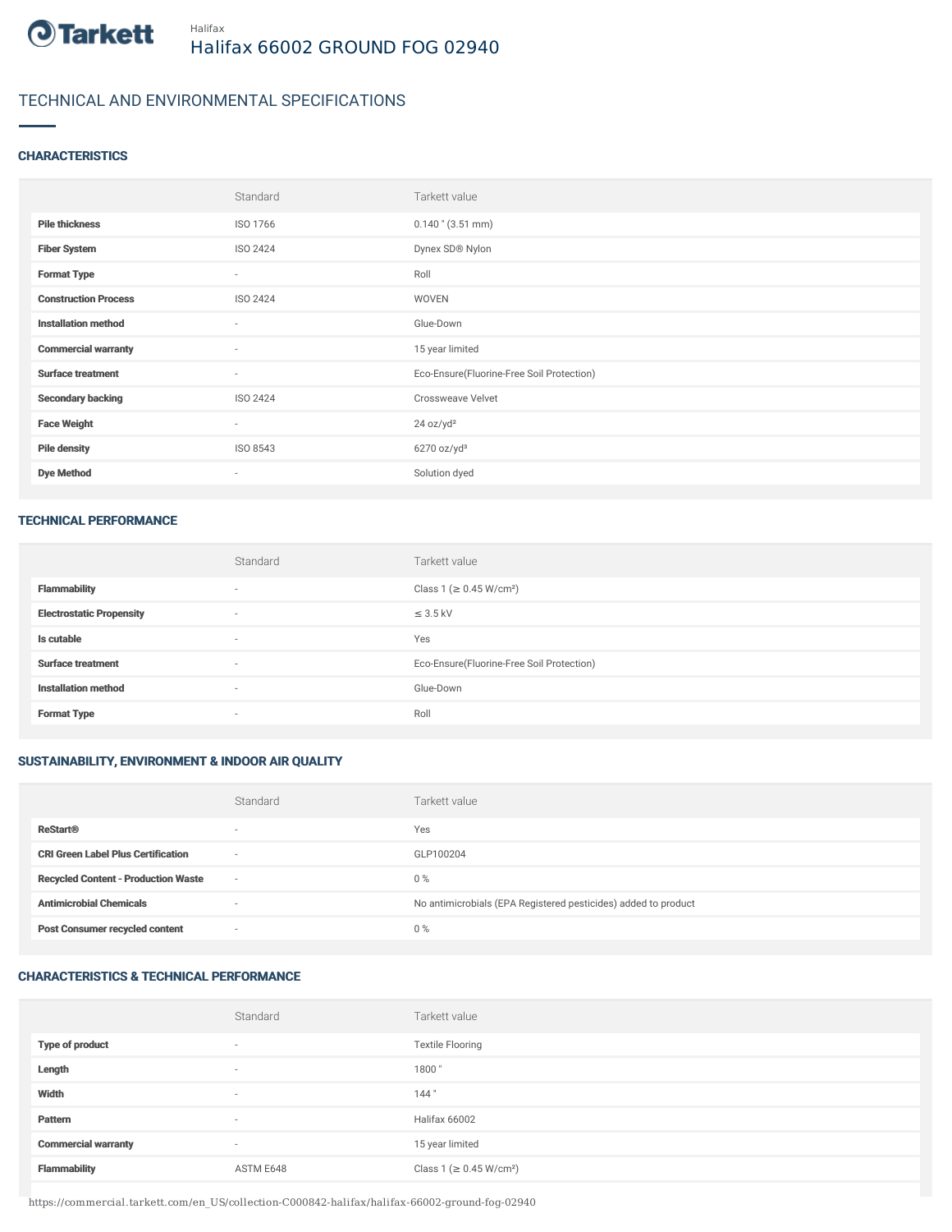

# TECHNICAL AND ENVIRONMENTAL SPECIFICATIONS

#### **CHARACTERISTICS**

|                             | Standard                 | Tarkett value                             |
|-----------------------------|--------------------------|-------------------------------------------|
| <b>Pile thickness</b>       | ISO 1766                 | $0.140$ " (3.51 mm)                       |
| <b>Fiber System</b>         | ISO 2424                 | Dynex SD® Nylon                           |
| <b>Format Type</b>          | $\sim$                   | Roll                                      |
| <b>Construction Process</b> | ISO 2424                 | WOVEN                                     |
| <b>Installation method</b>  | $\sim$                   | Glue-Down                                 |
| <b>Commercial warranty</b>  | $\sim$                   | 15 year limited                           |
| <b>Surface treatment</b>    | $\sim$                   | Eco-Ensure(Fluorine-Free Soil Protection) |
| <b>Secondary backing</b>    | ISO 2424                 | <b>Crossweave Velvet</b>                  |
| <b>Face Weight</b>          | $\sim$                   | 24 oz/yd <sup>2</sup>                     |
| <b>Pile density</b>         | ISO 8543                 | $6270$ oz/yd <sup>3</sup>                 |
| <b>Dye Method</b>           | $\overline{\phantom{a}}$ | Solution dyed                             |

#### TECHNICAL PERFORMANCE

|                                 | Standard                 | Tarkett value                             |
|---------------------------------|--------------------------|-------------------------------------------|
| <b>Flammability</b>             |                          | Class 1 (≥ 0.45 W/cm <sup>2</sup> )       |
| <b>Electrostatic Propensity</b> | $\overline{\phantom{a}}$ | $\leq$ 3.5 kV                             |
| Is cutable                      | $\overline{\phantom{a}}$ | Yes                                       |
| <b>Surface treatment</b>        |                          | Eco-Ensure(Fluorine-Free Soil Protection) |
| <b>Installation method</b>      |                          | Glue-Down                                 |
| <b>Format Type</b>              |                          | Roll                                      |

## SUSTAINABILITY, ENVIRONMENT & INDOOR AIR QUALITY

|                                            | Standard                 | Tarkett value                                                  |
|--------------------------------------------|--------------------------|----------------------------------------------------------------|
| <b>ReStart®</b>                            | $\overline{\phantom{a}}$ | Yes                                                            |
| <b>CRI Green Label Plus Certification</b>  | $\overline{\phantom{a}}$ | GLP100204                                                      |
| <b>Recycled Content - Production Waste</b> | $\sim$                   | $0\%$                                                          |
| <b>Antimicrobial Chemicals</b>             | ۰                        | No antimicrobials (EPA Registered pesticides) added to product |
| <b>Post Consumer recycled content</b>      | $\overline{\phantom{a}}$ | $0\%$                                                          |

## CHARACTERISTICS & TECHNICAL PERFORMANCE

|                            | Standard                 | Tarkett value                       |
|----------------------------|--------------------------|-------------------------------------|
| <b>Type of product</b>     | $\overline{\phantom{a}}$ | <b>Textile Flooring</b>             |
| Length                     | $\overline{\phantom{a}}$ | 1800                                |
| Width                      | $\overline{\phantom{a}}$ | 144"                                |
| Pattern                    | $\overline{\phantom{a}}$ | Halifax 66002                       |
| <b>Commercial warranty</b> | $\overline{\phantom{a}}$ | 15 year limited                     |
| <b>Flammability</b>        | ASTM E648                | Class 1 (≥ 0.45 W/cm <sup>2</sup> ) |

https://commercial.tarkett.com/en\_US/collection-C000842-halifax/halifax-66002-ground-fog-02940